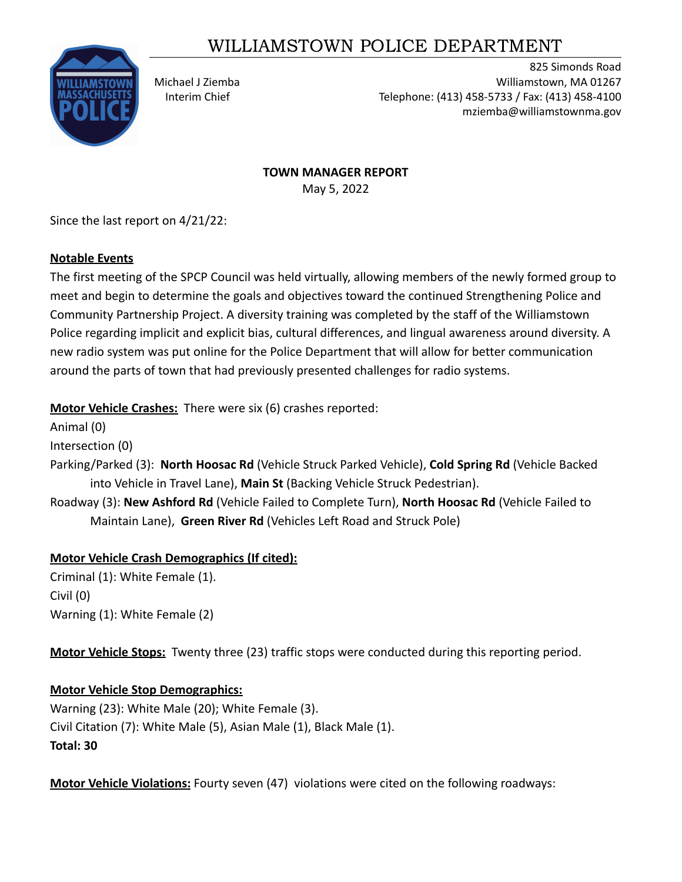# WILLIAMSTOWN POLICE DEPARTMENT



825 Simonds Road Michael J Ziemba Williamstown, MA 01267 Interim Chief Telephone: (413) 458-5733 / Fax: (413) 458-4100 mziemba@williamstownma.gov

> **TOWN MANAGER REPORT** May 5, 2022

Since the last report on 4/21/22:

## **Notable Events**

The first meeting of the SPCP Council was held virtually, allowing members of the newly formed group to meet and begin to determine the goals and objectives toward the continued Strengthening Police and Community Partnership Project. A diversity training was completed by the staff of the Williamstown Police regarding implicit and explicit bias, cultural differences, and lingual awareness around diversity. A new radio system was put online for the Police Department that will allow for better communication around the parts of town that had previously presented challenges for radio systems.

**Motor Vehicle Crashes:** There were six (6) crashes reported:

Animal (0)

Intersection (0)

Parking/Parked (3): **North Hoosac Rd** (Vehicle Struck Parked Vehicle), **Cold Spring Rd** (Vehicle Backed into Vehicle in Travel Lane), **Main St** (Backing Vehicle Struck Pedestrian).

Roadway (3): **New Ashford Rd** (Vehicle Failed to Complete Turn), **North Hoosac Rd** (Vehicle Failed to Maintain Lane), **Green River Rd** (Vehicles Left Road and Struck Pole)

# **Motor Vehicle Crash Demographics (If cited):**

Criminal (1): White Female (1). Civil (0) Warning (1): White Female (2)

**Motor Vehicle Stops:** Twenty three (23) traffic stops were conducted during this reporting period.

# **Motor Vehicle Stop Demographics:**

Warning (23): White Male (20); White Female (3). Civil Citation (7): White Male (5), Asian Male (1), Black Male (1). **Total: 30**

**Motor Vehicle Violations:** Fourty seven (47) violations were cited on the following roadways: